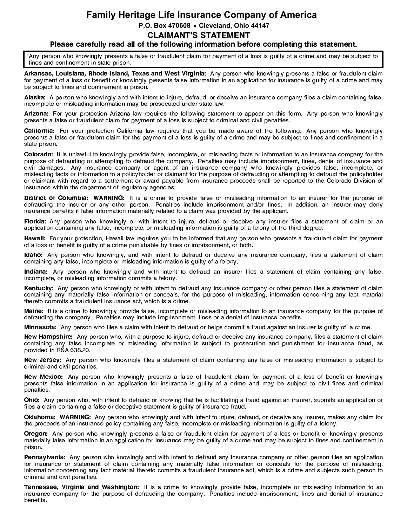## **Family Heritage Life Insurance Company of America P.O. Box 470608 Cleveland, Ohio 44147** CLAIMANT'S STATEMENT

### Please carefully read all of the following information before completing this statement.

Any person who knowingly presents a false or fraudulent claim for payment of a loss is guilty of a crime and may be subject to fines and confinement in state prison.

Arkansas, Louisiana, Rhode Island, Texas and West Virginia: Any person who knowingly presents a false or fraudulent claim for payment of a loss or benefit or knowingly presents false information in an application for insurance is guilty of a crime and may be subject to fines and confinement in prison.

Alaska: A person who knowingly and with intent to injure, defraud, or deceive an insurance company files a claim containing false, incomplete or misleading information may be prosecuted under state law.

Arizona: For your protection Arizona law requires the following statement to appear on this form. Any person who knowingly presents a false or fraudulent claim for payment of a loss is subject to criminal and civil penalties.

California: For your protection California law requires that you be made aware of the following: Any person who knowingly presents a false or fraudulent claim for the payment of a loss is guilty of a crime and may be subject to fines and confinement in a state prison.

Colorado: It is unlawful to knowingly provide false, incomplete, or misleading facts or information to an insurance company for the purpose of defrauding or attempting to defraud the company. Penalties may include imprisonment, fines, denial of insurance and civil damages. Any insurance company or agent of an insurance company who knowingly provides false, incomplete, or misleading facts or information to a policyholder or claimant for the purpose of defrauding or attempting to defraud the policyholder or claimant with regard to a settlement or award payable from insurance proceeds shall be reported to the Colorado Division of Insurance within the department of regulatory agencies.

District of Columbia: WARNING: It is a crime to provide false or misleading information to an insurer for the purpose of defrauding the insurer or any other person. Penalties include imprisonment and/or fines. In addition, an insurer may deny insurance benefits if false information materially related to a claim was provided by the applicant.

Florida: Any person who knowingly or with intent to injure, defraud or deceive any insurer files a statement of claim or an application containing any false, incomplete, or misleading information is guilty of a felony of the third degree.

Hawaii: For your protection, Hawaii law requires you to be informed that any person who presents a fraudulent claim for payment of a loss or benefit is guilty of a crime punishable by fines or imprisonment, or both.

Idaho: Any person who knowingly, and with intent to defraud or deceive any insurance company, files a statement of claim containing any false, incomplete or misleading information is guilty of a felony.

Indiana: Any person who knowingly and with intent to defraud an insurer files a statement of claim containing any false, incomplete, or misleading information commits a felony.

Kentucky: Any person who knowingly or with intent to defraud any insurance company or other person files a statement of claim containing any materially false information or conceals, for the purpose of misleading, information concerning any fact material thereto commits a fraudulent insurance act, which is a crime.

Maine: It is a crime to knowingly provide false, incomplete or misleading information to an insurance company for the purpose of defrauding the company. Penalties may include imprisonment, fines or a denial of insurance benefits.

Minnesota: Any person who files a claim with intent to defraud or helps commit a fraud against an insurer is guilty of a crime.

New Hampshire: Any person who, with a purpose to injure, defraud or deceive any insurance company, files a statement of claim containing any false incomplete or misleading information is subject to prosecution and punishment for insurance fraud, as provided in RSA 638.20.

New Jersey: Any person who knowingly files a statement of claim containing any false or misleading information is subject to criminal and civil penalties.

New Mexico: Any person who knowingly presents a false of fraudulent claim for payment of a loss of benefit or knowingly presents false information in an application for insurance is guilty of a crime and may be subject to civil fines and criminal penalties.

Ohio: Any person who, with intent to defraud or knowing that he is facilitating a fraud against an insurer, submits an application or files a claim containing a false or deceptive statement is guilty of insurance fraud.

Oklahoma: WARNING: Any person who knowingly and with intent to injure, defraud, or deceive any insurer, makes any claim for the proceeds of an insurance policy containing any false, incomplete or misleading information is guilty of a felony.

Oregon: Any person who knowingly presents a false or fraudulent claim for payment of a loss or benefit or knowingly presents materially false information in an application for insurance may be guilty of a crime and may be subject to fines and confinement in prison.

Pennsylvania: Any person who knowingly and with intent to defraud any insurance company or other person files an application for insurance or statement of claim containing any materially false information or conceals for the purpose of misleading, information concerning any fact material thereto commits a fraudulent insurance act, which is a crime and subjects such person to criminal and civil penalties.

Tennessee, Virginia and Washington: It is a crime to knowingly provide false, incomplete or misleading information to an insurance company for the purpose of defrauding the company. Penalties include imprisonment, fines and denial of insurance benefits.